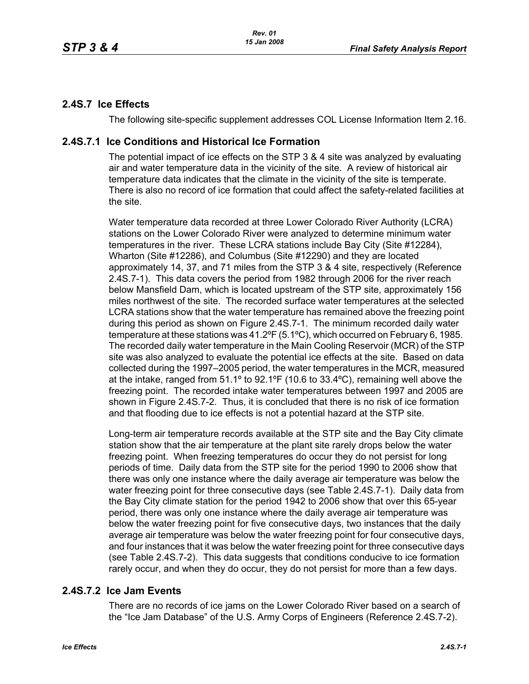# **2.4S.7 Ice Effects**

The following site-specific supplement addresses COL License Information Item 2.16.

### **2.4S.7.1 Ice Conditions and Historical Ice Formation**

The potential impact of ice effects on the STP 3 & 4 site was analyzed by evaluating air and water temperature data in the vicinity of the site. A review of historical air temperature data indicates that the climate in the vicinity of the site is temperate. There is also no record of ice formation that could affect the safety-related facilities at the site.

Water temperature data recorded at three Lower Colorado River Authority (LCRA) stations on the Lower Colorado River were analyzed to determine minimum water temperatures in the river. These LCRA stations include Bay City (Site #12284), Wharton (Site #12286), and Columbus (Site #12290) and they are located approximately 14, 37, and 71 miles from the STP 3 & 4 site, respectively (Reference 2.4S.7-1). This data covers the period from 1982 through 2006 for the river reach below Mansfield Dam, which is located upstream of the STP site, approximately 156 miles northwest of the site. The recorded surface water temperatures at the selected LCRA stations show that the water temperature has remained above the freezing point during this period as shown on Figure 2.4S.7-1. The minimum recorded daily water temperature at these stations was 41.2ºF (5.1ºC), which occurred on February 6, 1985. The recorded daily water temperature in the Main Cooling Reservoir (MCR) of the STP site was also analyzed to evaluate the potential ice effects at the site. Based on data collected during the 1997–2005 period, the water temperatures in the MCR, measured at the intake, ranged from 51.1º to 92.1ºF (10.6 to 33.4ºC), remaining well above the freezing point. The recorded intake water temperatures between 1997 and 2005 are shown in Figure 2.4S.7-2. Thus, it is concluded that there is no risk of ice formation and that flooding due to ice effects is not a potential hazard at the STP site.

Long-term air temperature records available at the STP site and the Bay City climate station show that the air temperature at the plant site rarely drops below the water freezing point. When freezing temperatures do occur they do not persist for long periods of time. Daily data from the STP site for the period 1990 to 2006 show that there was only one instance where the daily average air temperature was below the water freezing point for three consecutive days (see Table 2.4S.7-1). Daily data from the Bay City climate station for the period 1942 to 2006 show that over this 65-year period, there was only one instance where the daily average air temperature was below the water freezing point for five consecutive days, two instances that the daily average air temperature was below the water freezing point for four consecutive days, and four instances that it was below the water freezing point for three consecutive days (see Table 2.4S.7-2). This data suggests that conditions conducive to ice formation rarely occur, and when they do occur, they do not persist for more than a few days.

# **2.4S.7.2 Ice Jam Events**

There are no records of ice jams on the Lower Colorado River based on a search of the "Ice Jam Database" of the U.S. Army Corps of Engineers (Reference 2.4S.7-2).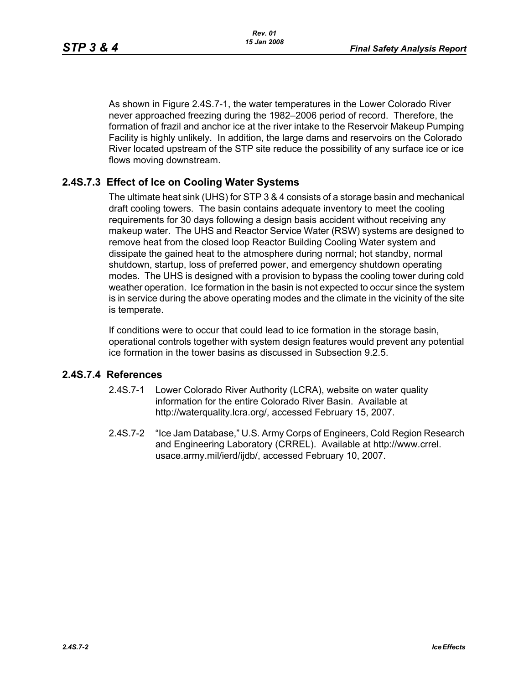As shown in Figure 2.4S.7-1, the water temperatures in the Lower Colorado River never approached freezing during the 1982–2006 period of record. Therefore, the formation of frazil and anchor ice at the river intake to the Reservoir Makeup Pumping Facility is highly unlikely. In addition, the large dams and reservoirs on the Colorado River located upstream of the STP site reduce the possibility of any surface ice or ice flows moving downstream.

## **2.4S.7.3 Effect of Ice on Cooling Water Systems**

The ultimate heat sink (UHS) for STP 3 & 4 consists of a storage basin and mechanical draft cooling towers. The basin contains adequate inventory to meet the cooling requirements for 30 days following a design basis accident without receiving any makeup water. The UHS and Reactor Service Water (RSW) systems are designed to remove heat from the closed loop Reactor Building Cooling Water system and dissipate the gained heat to the atmosphere during normal; hot standby, normal shutdown, startup, loss of preferred power, and emergency shutdown operating modes. The UHS is designed with a provision to bypass the cooling tower during cold weather operation. Ice formation in the basin is not expected to occur since the system is in service during the above operating modes and the climate in the vicinity of the site is temperate.

If conditions were to occur that could lead to ice formation in the storage basin, operational controls together with system design features would prevent any potential ice formation in the tower basins as discussed in Subsection 9.2.5.

### **2.4S.7.4 References**

- 2.4S.7-1 Lower Colorado River Authority (LCRA), website on water quality information for the entire Colorado River Basin. Available at http://waterquality.lcra.org/, accessed February 15, 2007.
- 2.4S.7-2 "Ice Jam Database," U.S. Army Corps of Engineers, Cold Region Research and Engineering Laboratory (CRREL). Available at http://www.crrel. usace.army.mil/ierd/ijdb/, accessed February 10, 2007.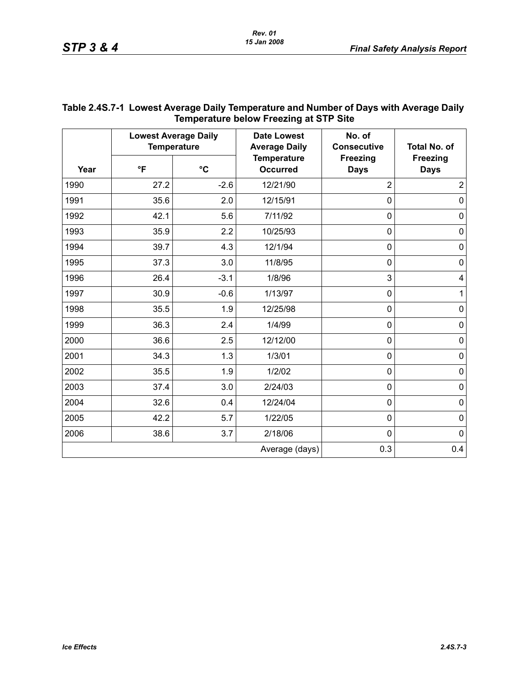| Temperature below Freezing at STP Site |                                                   |                 |                                            |                                |                                |  |
|----------------------------------------|---------------------------------------------------|-----------------|--------------------------------------------|--------------------------------|--------------------------------|--|
| Year                                   | <b>Lowest Average Daily</b><br><b>Temperature</b> |                 | <b>Date Lowest</b><br><b>Average Daily</b> | No. of<br><b>Consecutive</b>   | <b>Total No. of</b>            |  |
|                                        | $\mathsf{P}$                                      | $\rm ^{\circ}C$ | <b>Temperature</b><br><b>Occurred</b>      | <b>Freezing</b><br><b>Days</b> | <b>Freezing</b><br><b>Days</b> |  |
| 1990                                   | 27.2                                              | $-2.6$          | 12/21/90                                   | $\overline{2}$                 | $\overline{2}$                 |  |
| 1991                                   | 35.6                                              | 2.0             | 12/15/91                                   | $\mathbf 0$                    | $\mathbf 0$                    |  |
| 1992                                   | 42.1                                              | 5.6             | 7/11/92                                    | 0                              | $\pmb{0}$                      |  |
| 1993                                   | 35.9                                              | 2.2             | 10/25/93                                   | $\mathbf 0$                    | $\mathbf 0$                    |  |
| 1994                                   | 39.7                                              | 4.3             | 12/1/94                                    | $\mathbf 0$                    | $\pmb{0}$                      |  |
| 1995                                   | 37.3                                              | 3.0             | 11/8/95                                    | 0                              | $\mathbf 0$                    |  |
| 1996                                   | 26.4                                              | $-3.1$          | 1/8/96                                     | 3                              | $\overline{\mathbf{4}}$        |  |
| 1997                                   | 30.9                                              | $-0.6$          | 1/13/97                                    | 0                              | $\mathbf{1}$                   |  |
| 1998                                   | 35.5                                              | 1.9             | 12/25/98                                   | $\mathbf 0$                    | $\mathbf 0$                    |  |
| 1999                                   | 36.3                                              | 2.4             | 1/4/99                                     | 0                              | $\pmb{0}$                      |  |
| 2000                                   | 36.6                                              | 2.5             | 12/12/00                                   | $\mathbf 0$                    | 0                              |  |
| 2001                                   | 34.3                                              | 1.3             | 1/3/01                                     | $\mathbf 0$                    | $\mathbf 0$                    |  |
| 2002                                   | 35.5                                              | 1.9             | 1/2/02                                     | $\mathbf 0$                    | $\pmb{0}$                      |  |
| 2003                                   | 37.4                                              | 3.0             | 2/24/03                                    | $\mathbf 0$                    | $\mathbf 0$                    |  |
| 2004                                   | 32.6                                              | 0.4             | 12/24/04                                   | 0                              | 0                              |  |
| 2005                                   | 42.2                                              | 5.7             | 1/22/05                                    | 0                              | 0                              |  |
| 2006                                   | 38.6                                              | 3.7             | 2/18/06                                    | $\mathbf 0$                    | $\mathbf 0$                    |  |
|                                        |                                                   |                 | Average (days)                             | 0.3                            | 0.4                            |  |

# **Table 2.4S.7-1 Lowest Average Daily Temperature and Number of Days with Average Daily Temperature below Freezing at STP Site**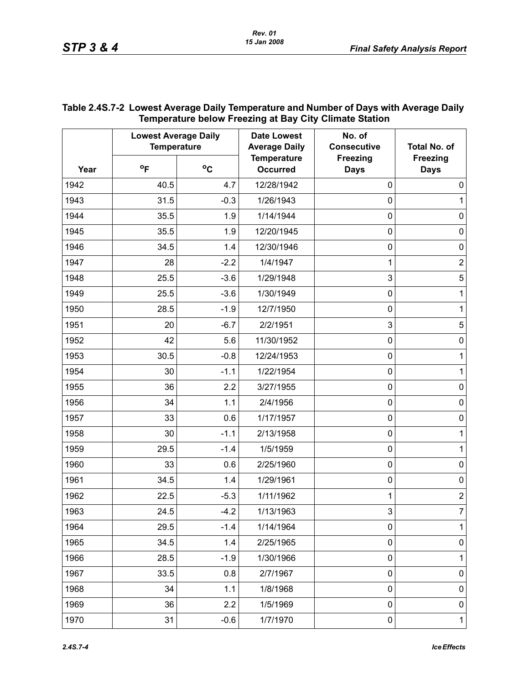| Year | Temperature below Freezing at Bay City Climate Station<br><b>Lowest Average Daily</b><br><b>Temperature</b> |        | <b>Date Lowest</b><br><b>Average Daily</b> | No. of<br><b>Consecutive</b>   | <b>Total No. of</b>            |
|------|-------------------------------------------------------------------------------------------------------------|--------|--------------------------------------------|--------------------------------|--------------------------------|
|      | $^{\circ}$ F                                                                                                | °C     | <b>Temperature</b><br><b>Occurred</b>      | <b>Freezing</b><br><b>Days</b> | <b>Freezing</b><br><b>Days</b> |
| 1942 | 40.5                                                                                                        | 4.7    | 12/28/1942                                 | $\mathbf 0$                    | 0                              |
| 1943 | 31.5                                                                                                        | $-0.3$ | 1/26/1943                                  | $\mathbf 0$                    | 1                              |
| 1944 | 35.5                                                                                                        | 1.9    | 1/14/1944                                  | $\mathbf 0$                    | 0                              |
| 1945 | 35.5                                                                                                        | 1.9    | 12/20/1945                                 | $\mathbf 0$                    | $\mathbf 0$                    |
| 1946 | 34.5                                                                                                        | 1.4    | 12/30/1946                                 | $\mathbf 0$                    | $\mathbf 0$                    |
| 1947 | 28                                                                                                          | $-2.2$ | 1/4/1947                                   | 1                              | $\overline{2}$                 |
| 1948 | 25.5                                                                                                        | $-3.6$ | 1/29/1948                                  | 3                              | 5                              |
| 1949 | 25.5                                                                                                        | $-3.6$ | 1/30/1949                                  | $\mathbf 0$                    | 1                              |
| 1950 | 28.5                                                                                                        | $-1.9$ | 12/7/1950                                  | $\mathbf 0$                    | 1                              |
| 1951 | 20                                                                                                          | $-6.7$ | 2/2/1951                                   | 3                              | 5                              |
| 1952 | 42                                                                                                          | 5.6    | 11/30/1952                                 | $\mathbf 0$                    | $\mathbf 0$                    |
| 1953 | 30.5                                                                                                        | $-0.8$ | 12/24/1953                                 | $\mathbf 0$                    | 1                              |
| 1954 | 30                                                                                                          | $-1.1$ | 1/22/1954                                  | $\mathbf 0$                    | 1                              |
| 1955 | 36                                                                                                          | 2.2    | 3/27/1955                                  | $\mathbf 0$                    | $\mathbf 0$                    |
| 1956 | 34                                                                                                          | 1.1    | 2/4/1956                                   | $\mathbf 0$                    | $\mathbf 0$                    |
| 1957 | 33                                                                                                          | 0.6    | 1/17/1957                                  | $\mathbf 0$                    | $\mathbf 0$                    |
| 1958 | 30                                                                                                          | $-1.1$ | 2/13/1958                                  | $\mathbf 0$                    | 1                              |
| 1959 | 29.5                                                                                                        | $-1.4$ | 1/5/1959                                   | $\mathbf 0$                    | 1                              |
| 1960 | 33                                                                                                          | 0.6    | 2/25/1960                                  | $\mathbf 0$                    | $\mathbf 0$                    |
| 1961 | 34.5                                                                                                        | 1.4    | 1/29/1961                                  | $\mathbf 0$                    | $\mathbf 0$                    |
| 1962 | 22.5                                                                                                        | $-5.3$ | 1/11/1962                                  | 1                              | $\overline{2}$                 |
| 1963 | 24.5                                                                                                        | $-4.2$ | 1/13/1963                                  | $\ensuremath{\mathsf{3}}$      | 7                              |
| 1964 | 29.5                                                                                                        | $-1.4$ | 1/14/1964                                  | $\pmb{0}$                      | 1                              |
| 1965 | 34.5                                                                                                        | 1.4    | 2/25/1965                                  | $\pmb{0}$                      | $\pmb{0}$                      |
| 1966 | 28.5                                                                                                        | $-1.9$ | 1/30/1966                                  | $\pmb{0}$                      | 1                              |
| 1967 | 33.5                                                                                                        | 0.8    | 2/7/1967                                   | $\mathbf 0$                    | $\pmb{0}$                      |
| 1968 | 34                                                                                                          | 1.1    | 1/8/1968                                   | $\pmb{0}$                      | $\pmb{0}$                      |
| 1969 | 36                                                                                                          | 2.2    | 1/5/1969                                   | $\pmb{0}$                      | $\pmb{0}$                      |
| 1970 | 31                                                                                                          | $-0.6$ | 1/7/1970                                   | $\pmb{0}$                      | $\overline{1}$                 |

#### **Table 2.4S.7-2 Lowest Average Daily Temperature and Number of Days with Average Daily Temperature below Freezing at Bay City Climate Station**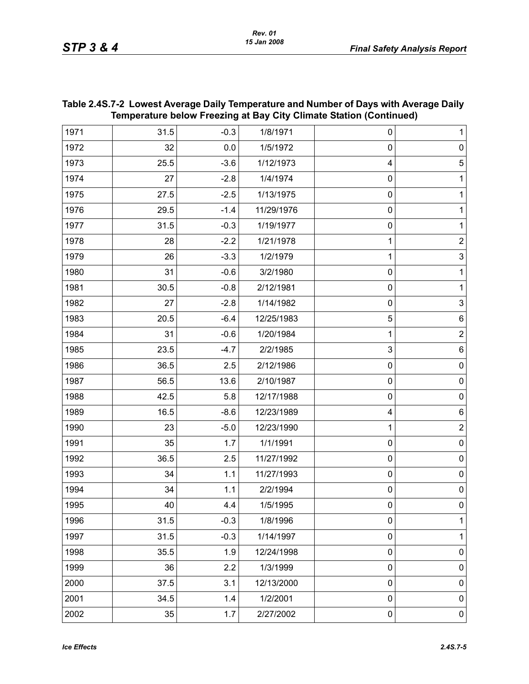| Temperature below Freezing at Bay City Climate Station (Continued) |      |        |            |                  |                           |  |
|--------------------------------------------------------------------|------|--------|------------|------------------|---------------------------|--|
| 1971                                                               | 31.5 | $-0.3$ | 1/8/1971   | 0                | 1                         |  |
| 1972                                                               | 32   | 0.0    | 1/5/1972   | $\mathbf 0$      | $\pmb{0}$                 |  |
| 1973                                                               | 25.5 | $-3.6$ | 1/12/1973  | 4                | $\sqrt{5}$                |  |
| 1974                                                               | 27   | $-2.8$ | 1/4/1974   | $\mathbf 0$      | 1                         |  |
| 1975                                                               | 27.5 | $-2.5$ | 1/13/1975  | $\mathbf 0$      | 1                         |  |
| 1976                                                               | 29.5 | $-1.4$ | 11/29/1976 | $\mathbf 0$      | 1                         |  |
| 1977                                                               | 31.5 | $-0.3$ | 1/19/1977  | $\boldsymbol{0}$ | 1                         |  |
| 1978                                                               | 28   | $-2.2$ | 1/21/1978  | 1                | $\overline{2}$            |  |
| 1979                                                               | 26   | $-3.3$ | 1/2/1979   | 1                | $\ensuremath{\mathsf{3}}$ |  |
| 1980                                                               | 31   | $-0.6$ | 3/2/1980   | $\boldsymbol{0}$ | 1                         |  |
| 1981                                                               | 30.5 | $-0.8$ | 2/12/1981  | $\boldsymbol{0}$ | 1                         |  |
| 1982                                                               | 27   | $-2.8$ | 1/14/1982  | $\mathbf 0$      | $\sqrt{3}$                |  |
| 1983                                                               | 20.5 | $-6.4$ | 12/25/1983 | 5                | 6                         |  |
| 1984                                                               | 31   | $-0.6$ | 1/20/1984  | 1                | $\overline{2}$            |  |
| 1985                                                               | 23.5 | $-4.7$ | 2/2/1985   | 3                | 6                         |  |
| 1986                                                               | 36.5 | 2.5    | 2/12/1986  | $\mathbf 0$      | $\pmb{0}$                 |  |
| 1987                                                               | 56.5 | 13.6   | 2/10/1987  | $\mathbf 0$      | $\pmb{0}$                 |  |
| 1988                                                               | 42.5 | 5.8    | 12/17/1988 | $\mathbf 0$      | $\pmb{0}$                 |  |
| 1989                                                               | 16.5 | $-8.6$ | 12/23/1989 | 4                | 6                         |  |
| 1990                                                               | 23   | $-5.0$ | 12/23/1990 | 1                | $\overline{c}$            |  |
| 1991                                                               | 35   | 1.7    | 1/1/1991   | $\mathbf 0$      | $\pmb{0}$                 |  |
| 1992                                                               | 36.5 | 2.5    | 11/27/1992 | $\mathbf 0$      | $\pmb{0}$                 |  |
| 1993                                                               | 34   | 1.1    | 11/27/1993 | $\mathbf 0$      | $\pmb{0}$                 |  |
| 1994                                                               | 34   | 1.1    | 2/2/1994   | $\boldsymbol{0}$ | $\pmb{0}$                 |  |
| 1995                                                               | 40   | 4.4    | 1/5/1995   | 0                | $\mathbf 0$               |  |
| 1996                                                               | 31.5 | $-0.3$ | 1/8/1996   | 0                | 1                         |  |
| 1997                                                               | 31.5 | $-0.3$ | 1/14/1997  | $\mathbf 0$      | 1                         |  |
| 1998                                                               | 35.5 | 1.9    | 12/24/1998 | 0                | $\pmb{0}$                 |  |
| 1999                                                               | 36   | 2.2    | 1/3/1999   | $\mathbf 0$      | $\pmb{0}$                 |  |
| 2000                                                               | 37.5 | 3.1    | 12/13/2000 | 0                | $\pmb{0}$                 |  |
| 2001                                                               | 34.5 | 1.4    | 1/2/2001   | $\mathbf 0$      | 0                         |  |
| 2002                                                               | 35   | 1.7    | 2/27/2002  | 0                | 0                         |  |

#### **Table 2.4S.7-2 Lowest Average Daily Temperature and Number of Days with Average Daily Temperature below Freezing at Bay City Climate Station (Continued)**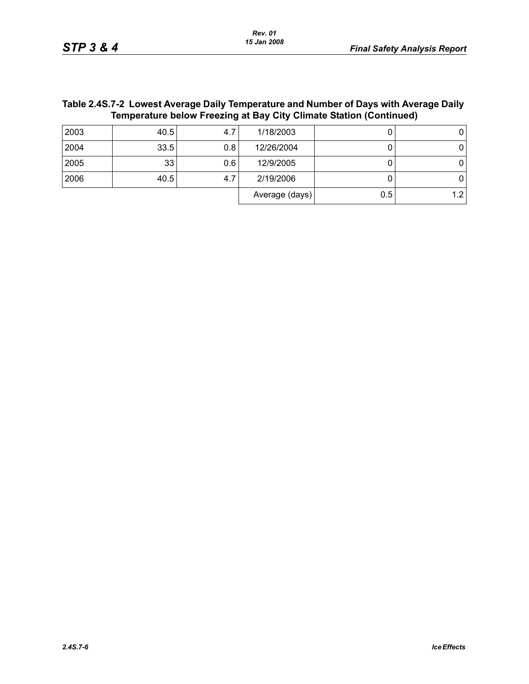| Table 2.4S.7-2  Lowest Average Daily Temperature and Number of Days with Average Daily |
|----------------------------------------------------------------------------------------|
| Temperature below Freezing at Bay City Climate Station (Continued)                     |

| 2003 | 40.5 | 4.7 | 1/18/2003      |     |  |
|------|------|-----|----------------|-----|--|
| 2004 | 33.5 | 0.8 | 12/26/2004     |     |  |
| 2005 | 33   | 0.6 | 12/9/2005      |     |  |
| 2006 | 40.5 | 4.7 | 2/19/2006      |     |  |
|      |      |     | Average (days) | 0.5 |  |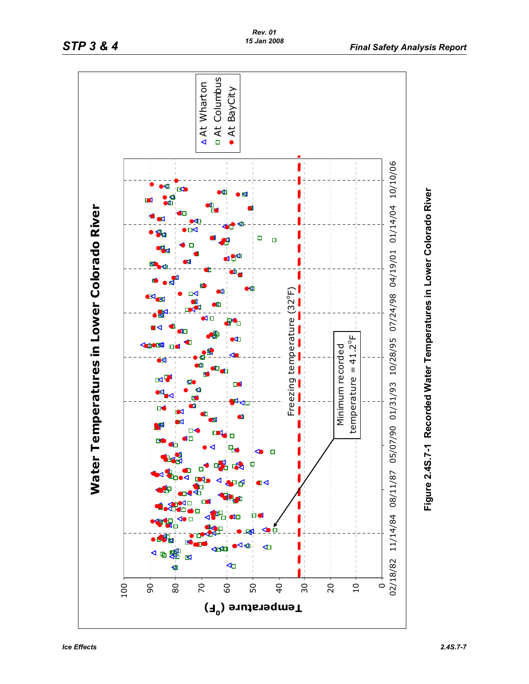